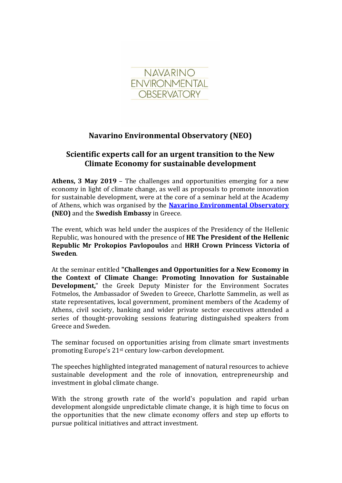

## **Navarino Environmental Observatory (ΝΕΟ)**

## **Scientific experts call for an urgent transition to the New Climate Economy for sustainable development**

**Athens, 3 May 2019** – The challenges and opportunities emerging for a new economy in light of climate change, as well as proposals to promote innovation for sustainable development, were at the core of a seminar held at the Academy of Athens, which was organised by the **[Navarino Environmental Observatory](http://www.navarinoneo.gr/) (ΝΕΟ)** and the **Swedish Embassy** in Greece.

The event, which was held under the auspices of the Presidency of the Hellenic Republic, was honoured with the presence of **ΗΕ The President of the Hellenic Republic Mr Prokopios Pavlopoulos** and **HRH Crown Princess Victoria of Sweden**.

At the seminar entitled **"Challenges and Opportunities for a New Economy in the Context of Climate Change: Promoting Innovation for Sustainable Development,**" the Greek Deputy Minister for the Environment Socrates Fotmelos, the Ambassador of Sweden to Greece, Charlotte Sammelin, as well as state representatives, local government, prominent members of the Academy of Athens, civil society, banking and wider private sector executives attended a series of thought-provoking sessions featuring distinguished speakers from Greece and Sweden.

The seminar focused on opportunities arising from climate smart investments promoting Europe's 21st century low-carbon development.

The speeches highlighted integrated management of natural resources to achieve sustainable development and the role of innovation, entrepreneurship and investment in global climate change.

With the strong growth rate of the world's population and rapid urban development alongside unpredictable climate change, it is high time to focus on the opportunities that the new climate economy offers and step up efforts to pursue political initiatives and attract investment.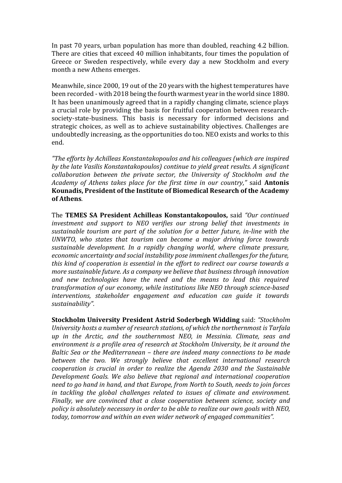In past 70 years, urban population has more than doubled, reaching 4.2 billion. There are cities that exceed 40 million inhabitants, four times the population of Greece or Sweden respectively, while every day a new Stockholm and every month a new Athens emerges.

Meanwhile, since 2000, 19 out of the 20 years with the highest temperatures have been recorded - with 2018 being the fourth warmest year in the world since 1880. It has been unanimously agreed that in a rapidly changing climate, science plays a crucial role by providing the basis for fruitful cooperation between researchsociety-state-business. This basis is necessary for informed decisions and strategic choices, as well as to achieve sustainability objectives. Challenges are undoubtedly increasing, as the opportunities do too. NEO exists and works to this end.

*"The efforts by Achilleas Konstantakopoulos and his colleagues (which are inspired by the late Vasilis Konstantakopoulos) continue to yield great results. A significant collaboration between the private sector, the University of Stockholm and the Academy of Athens takes place for the first time in our country,"* said **Antonis Kounadis, President of the Institute of Biomedical Research of the Academy of Athens**.

The **TEMES SA President Achilleas Konstantakopoulos,** said *"Our continued investment and support to NEO verifies our strong belief that investments in sustainable tourism are part of the solution for a better future, in-line with the UNWTO, who states that tourism can become a major driving force towards sustainable development. In a rapidly changing world, where climate pressure, economic uncertainty and social instability pose imminent challenges for the future, this kind of cooperation is essential in the effort to redirect our course towards a more sustainable future. As a company we believe that business through innovation and new technologies have the need and the means to lead this required transformation of our economy, while institutions like NEO through science-based interventions, stakeholder engagement and education can guide it towards sustainability".*

**Stockholm University President Astrid Soderbegh Widding** said: *"Stockholm University hosts a number of research stations, of which the northernmost is Tarfala up in the Arctic, and the southernmost NEO, in Messinia. Climate, seas and environment is a profile area of research at Stockholm University, be it around the Baltic Sea or the Mediterranean – there are indeed many connections to be made between the two. We strongly believe that excellent international research cooperation is crucial in order to realize the Agenda 2030 and the Sustainable Development Goals. We also believe that regional and international cooperation need to go hand in hand, and that Europe, from North to South, needs to join forces in tackling the global challenges related to issues of climate and environment. Finally, we are convinced that a close cooperation between science, society and policy is absolutely necessary in order to be able to realize our own goals with NEO, today, tomorrow and within an even wider network of engaged communities".*